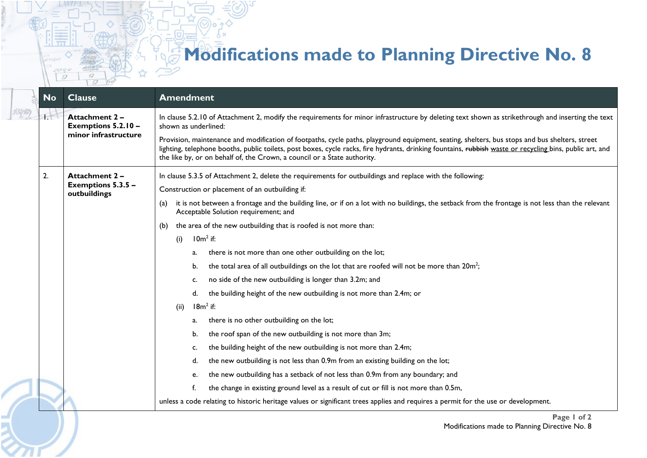## **Modifications made to Planning Directive No. 8**

|  | <b>No</b> | <b>Clause</b>                                                | <b>Amendment</b>                                                                                                                                                                                                                                                                                                                                                                       |
|--|-----------|--------------------------------------------------------------|----------------------------------------------------------------------------------------------------------------------------------------------------------------------------------------------------------------------------------------------------------------------------------------------------------------------------------------------------------------------------------------|
|  | łΤ        | Attachment 2-<br>Exemptions 5.2.10 -<br>minor infrastructure | In clause 5.2.10 of Attachment 2, modify the requirements for minor infrastructure by deleting text shown as strikethrough and inserting the text<br>shown as underlined:                                                                                                                                                                                                              |
|  |           |                                                              | Provision, maintenance and modification of footpaths, cycle paths, playground equipment, seating, shelters, bus stops and bus shelters, street<br>lighting, telephone booths, public toilets, post boxes, cycle racks, fire hydrants, drinking fountains, rubbish waste or recycling bins, public art, and<br>the like by, or on behalf of, the Crown, a council or a State authority. |
|  | 2.        | <b>Attachment 2-</b><br>Exemptions 5.3.5 -<br>outbuildings   | In clause 5.3.5 of Attachment 2, delete the requirements for outbuildings and replace with the following:                                                                                                                                                                                                                                                                              |
|  |           |                                                              | Construction or placement of an outbuilding if:                                                                                                                                                                                                                                                                                                                                        |
|  |           |                                                              | it is not between a frontage and the building line, or if on a lot with no buildings, the setback from the frontage is not less than the relevant<br>(a)<br>Acceptable Solution requirement; and                                                                                                                                                                                       |
|  |           |                                                              | the area of the new outbuilding that is roofed is not more than:<br>(b)                                                                                                                                                                                                                                                                                                                |
|  |           |                                                              | $10m2$ if:<br>(i)                                                                                                                                                                                                                                                                                                                                                                      |
|  |           |                                                              | there is not more than one other outbuilding on the lot;<br>a.                                                                                                                                                                                                                                                                                                                         |
|  |           |                                                              | the total area of all outbuildings on the lot that are roofed will not be more than 20m <sup>2</sup> ;<br>b.                                                                                                                                                                                                                                                                           |
|  |           |                                                              | no side of the new outbuilding is longer than 3.2m; and<br>c.                                                                                                                                                                                                                                                                                                                          |
|  |           |                                                              | the building height of the new outbuilding is not more than 2.4m; or<br>d.                                                                                                                                                                                                                                                                                                             |
|  |           |                                                              | $18m^2$ if:<br>(ii)                                                                                                                                                                                                                                                                                                                                                                    |
|  |           |                                                              | there is no other outbuilding on the lot;<br>a.                                                                                                                                                                                                                                                                                                                                        |
|  |           |                                                              | the roof span of the new outbuilding is not more than 3m;<br>b.                                                                                                                                                                                                                                                                                                                        |
|  |           |                                                              | the building height of the new outbuilding is not more than 2.4m;<br>c.                                                                                                                                                                                                                                                                                                                |
|  |           |                                                              | the new outbuilding is not less than 0.9m from an existing building on the lot;<br>d.                                                                                                                                                                                                                                                                                                  |
|  |           |                                                              | the new outbuilding has a setback of not less than 0.9m from any boundary; and<br>e.                                                                                                                                                                                                                                                                                                   |
|  |           |                                                              | the change in existing ground level as a result of cut or fill is not more than 0.5m,<br>f.                                                                                                                                                                                                                                                                                            |
|  |           |                                                              | unless a code relating to historic heritage values or significant trees applies and requires a permit for the use or development.                                                                                                                                                                                                                                                      |
|  |           |                                                              | Proof 1 of 2                                                                                                                                                                                                                                                                                                                                                                           |

2099  $\sigma$